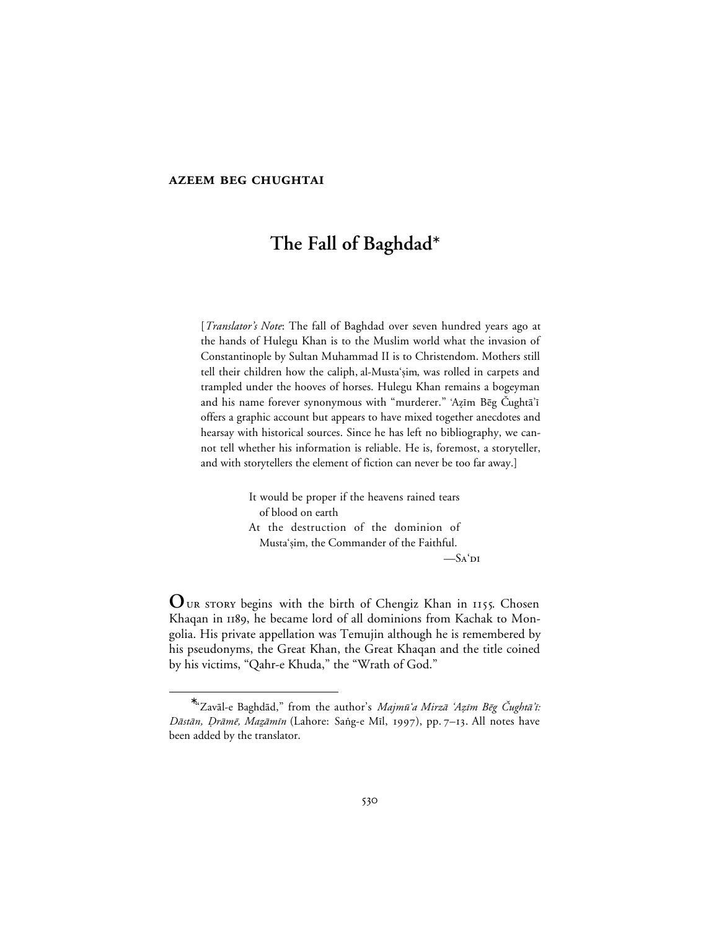## **AZEEM BEG CHUGHTAI**

# **The Fall of Baghdad**<sup>∗</sup>

[*Translator's Note*: The fall of Baghdad over seven hundred years ago at the hands of Hulegu Khan is to the Muslim world what the invasion of Constantinople by Sultan Muhammad II is to Christendom. Mothers still tell their children how the caliph, al-Musta'ṣim, was rolled in carpets and trampled under the hooves of horses. Hulegu Khan remains a bogeyman and his name forever synonymous with "murderer." 'Azīm Bēg Čughtā'ī offers a graphic account but appears to have mixed together anecdotes and hearsay with historical sources. Since he has left no bibliography, we cannot tell whether his information is reliable. He is, foremost, a storyteller, and with storytellers the element of fiction can never be too far away.]

> It would be proper if the heavens rained tears of blood on earth At the destruction of the dominion of Musta'şim, the Commander of the Faithful.  $-S_A'$ di

OUR STORY begins with the birth of Chengiz Khan in 1155. Chosen Khaqan in 1189, he became lord of all dominions from Kachak to Mongolia. His private appellation was Temujin although he is remembered by his pseudonyms, the Great Khan, the Great Khaqan and the title coined by his victims, "Qahr-e Khuda," the "Wrath of God."

<sup>∗</sup> <sup>\*</sup>"Zavāl-e Baghdād," from the author's *Majmū'a Mirzā 'Azīm Bēg Čughtā'ī*: Dāstān, Drāmē, Mazāmīn (Lahore: Saṅg-e Mīl, 1997), pp. 7-13. All notes have been added by the translator.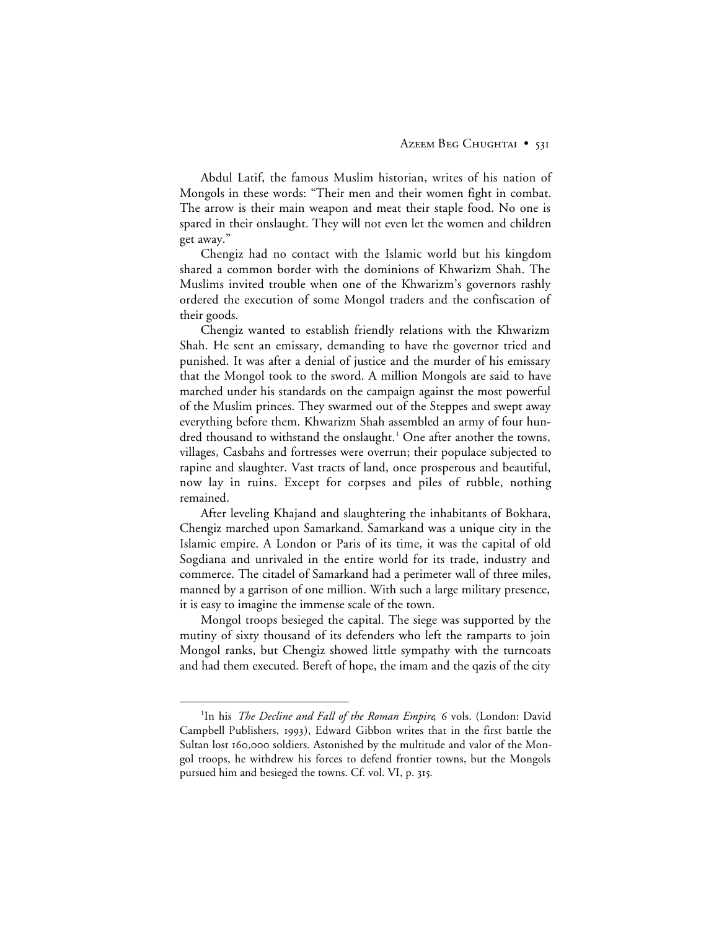Abdul Latif, the famous Muslim historian, writes of his nation of Mongols in these words: "Their men and their women fight in combat. The arrow is their main weapon and meat their staple food. No one is spared in their onslaught. They will not even let the women and children get away."

Chengiz had no contact with the Islamic world but his kingdom shared a common border with the dominions of Khwarizm Shah. The Muslims invited trouble when one of the Khwarizm's governors rashly ordered the execution of some Mongol traders and the confiscation of their goods.

Chengiz wanted to establish friendly relations with the Khwarizm Shah. He sent an emissary, demanding to have the governor tried and punished. It was after a denial of justice and the murder of his emissary that the Mongol took to the sword. A million Mongols are said to have marched under his standards on the campaign against the most powerful of the Muslim princes. They swarmed out of the Steppes and swept away everything before them. Khwarizm Shah assembled an army of four hundred thousand to withstand the onslaught.<sup>1</sup> One after another the towns, villages, Casbahs and fortresses were overrun; their populace subjected to rapine and slaughter. Vast tracts of land, once prosperous and beautiful, now lay in ruins. Except for corpses and piles of rubble, nothing remained.

After leveling Khajand and slaughtering the inhabitants of Bokhara, Chengiz marched upon Samarkand. Samarkand was a unique city in the Islamic empire. A London or Paris of its time, it was the capital of old Sogdiana and unrivaled in the entire world for its trade, industry and commerce. The citadel of Samarkand had a perimeter wall of three miles, manned by a garrison of one million. With such a large military presence, it is easy to imagine the immense scale of the town.

Mongol troops besieged the capital. The siege was supported by the mutiny of sixty thousand of its defenders who left the ramparts to join Mongol ranks, but Chengiz showed little sympathy with the turncoats and had them executed. Bereft of hope, the imam and the qazis of the city

 <sup>1</sup> <sup>1</sup>In his *The Decline and Fall of the Roman Empire*, 6 vols. (London: David Campbell Publishers, 1993), Edward Gibbon writes that in the first battle the Sultan lost 160,000 soldiers. Astonished by the multitude and valor of the Mongol troops, he withdrew his forces to defend frontier towns, but the Mongols pursued him and besieged the towns. Cf. vol. VI, p. 315.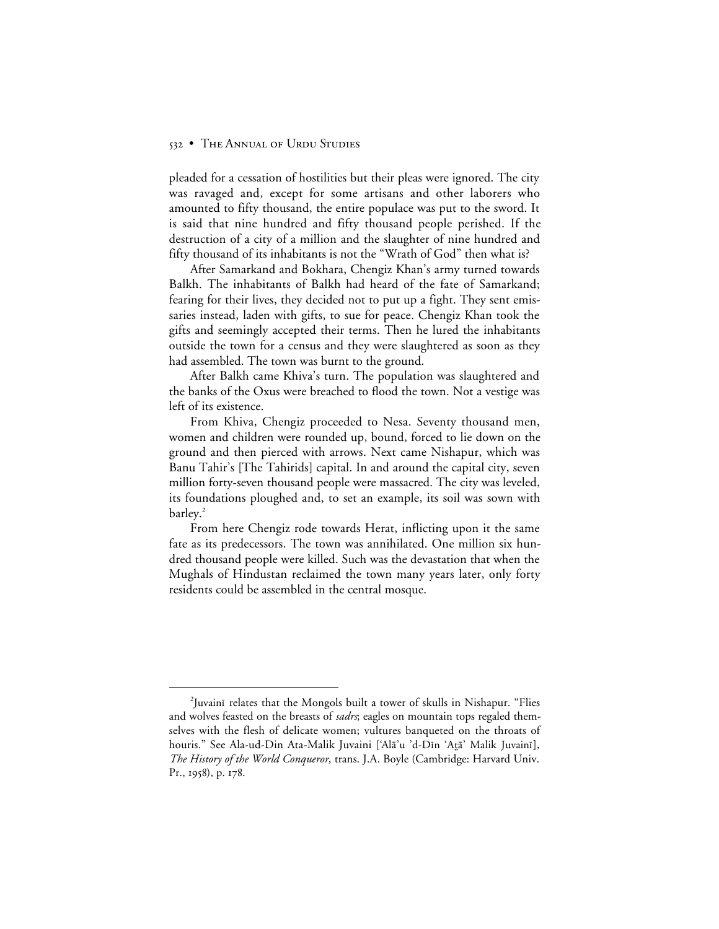#### 532 • THE ANNUAL OF URDU STUDIES

pleaded for a cessation of hostilities but their pleas were ignored. The city was ravaged and, except for some artisans and other laborers who amounted to fifty thousand, the entire populace was put to the sword. It is said that nine hundred and fifty thousand people perished. If the destruction of a city of a million and the slaughter of nine hundred and fifty thousand of its inhabitants is not the "Wrath of God" then what is?

After Samarkand and Bokhara, Chengiz Khan's army turned towards Balkh. The inhabitants of Balkh had heard of the fate of Samarkand; fearing for their lives, they decided not to put up a fight. They sent emissaries instead, laden with gifts, to sue for peace. Chengiz Khan took the gifts and seemingly accepted their terms. Then he lured the inhabitants outside the town for a census and they were slaughtered as soon as they had assembled. The town was burnt to the ground.

After Balkh came Khiva's turn. The population was slaughtered and the banks of the Oxus were breached to flood the town. Not a vestige was left of its existence.

From Khiva, Chengiz proceeded to Nesa. Seventy thousand men, women and children were rounded up, bound, forced to lie down on the ground and then pierced with arrows. Next came Nishapur, which was Banu Tahir's [The Tahirids] capital. In and around the capital city, seven million forty-seven thousand people were massacred. The city was leveled, its foundations ploughed and, to set an example, its soil was sown with barley.<sup>2</sup>

From here Chengiz rode towards Herat, inflicting upon it the same fate as its predecessors. The town was annihilated. One million six hundred thousand people were killed. Such was the devastation that when the Mughals of Hindustan reclaimed the town many years later, only forty residents could be assembled in the central mosque.

 <sup>2</sup> <sup>2</sup>Juvaini relates that the Mongols built a tower of skulls in Nishapur. "Flies and wolves feasted on the breasts of *sadrs*; eagles on mountain tops regaled themselves with the flesh of delicate women; vultures banqueted on the throats of houris." See Ala-ud-Din Ata-Malik Juvaini ['Alā'u 'd-Dīn 'Atā' Malik Juvainī], *The History of the World Conqueror,* trans. J.A. Boyle (Cambridge: Harvard Univ. Pr., 1958), p. 178.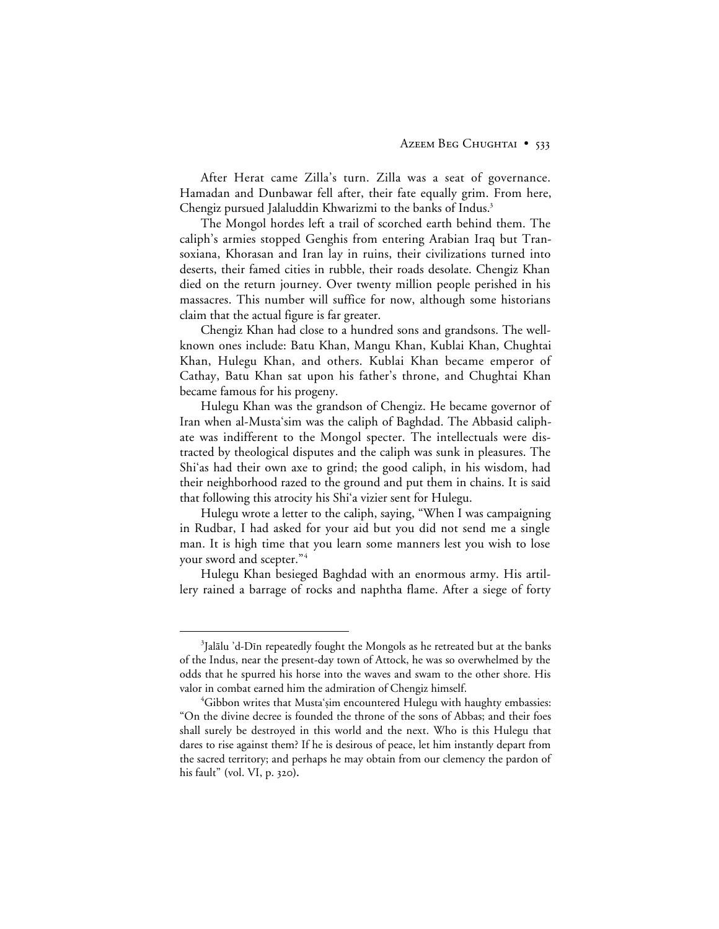After Herat came Zilla's turn. Zilla was a seat of governance. Hamadan and Dunbawar fell after, their fate equally grim. From here, Chengiz pursued Jalaluddin Khwarizmi to the banks of Indus.<sup>3</sup>

The Mongol hordes left a trail of scorched earth behind them. The caliph's armies stopped Genghis from entering Arabian Iraq but Transoxiana, Khorasan and Iran lay in ruins, their civilizations turned into deserts, their famed cities in rubble, their roads desolate. Chengiz Khan died on the return journey. Over twenty million people perished in his massacres. This number will suffice for now, although some historians claim that the actual figure is far greater.

Chengiz Khan had close to a hundred sons and grandsons. The wellknown ones include: Batu Khan, Mangu Khan, Kublai Khan, Chughtai Khan, Hulegu Khan, and others. Kublai Khan became emperor of Cathay, Batu Khan sat upon his father's throne, and Chughtai Khan became famous for his progeny.

Hulegu Khan was the grandson of Chengiz. He became governor of Iran when al-Musta'sim was the caliph of Baghdad. The Abbasid caliphate was indifferent to the Mongol specter. The intellectuals were distracted by theological disputes and the caliph was sunk in pleasures. The Shi'as had their own axe to grind; the good caliph, in his wisdom, had their neighborhood razed to the ground and put them in chains. It is said that following this atrocity his Shi'a vizier sent for Hulegu.

Hulegu wrote a letter to the caliph, saying, "When I was campaigning in Rudbar, I had asked for your aid but you did not send me a single man. It is high time that you learn some manners lest you wish to lose your sword and scepter."4

Hulegu Khan besieged Baghdad with an enormous army. His artillery rained a barrage of rocks and naphtha flame. After a siege of forty

 $\frac{1}{3}$ <sup>3</sup>Jalālu 'd-Dīn repeatedly fought the Mongols as he retreated but at the banks of the Indus, near the present-day town of Attock, he was so overwhelmed by the odds that he spurred his horse into the waves and swam to the other shore. His valor in combat earned him the admiration of Chengiz himself.

 $\rm ^4Gibbon$  writes that Mustaʻṣim encountered Hulegu with haughty embassies: "On the divine decree is founded the throne of the sons of Abbas; and their foes shall surely be destroyed in this world and the next. Who is this Hulegu that dares to rise against them? If he is desirous of peace, let him instantly depart from the sacred territory; and perhaps he may obtain from our clemency the pardon of his fault" **(**vol. VI, p. **).**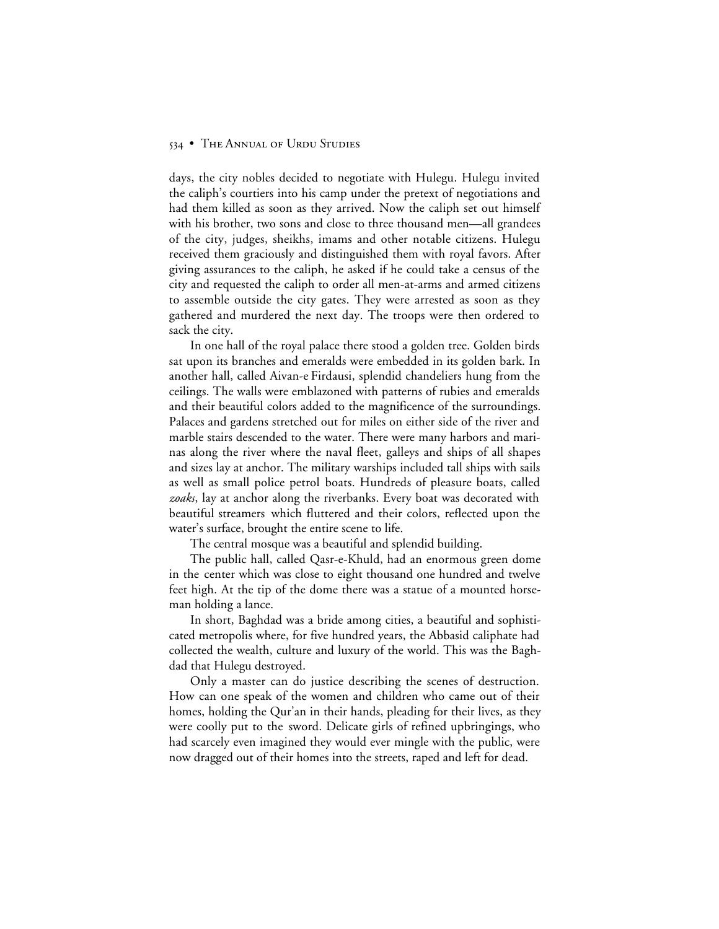#### 534 • THE ANNUAL OF URDU STUDIES

days, the city nobles decided to negotiate with Hulegu. Hulegu invited the caliph's courtiers into his camp under the pretext of negotiations and had them killed as soon as they arrived. Now the caliph set out himself with his brother, two sons and close to three thousand men—all grandees of the city, judges, sheikhs, imams and other notable citizens. Hulegu received them graciously and distinguished them with royal favors. After giving assurances to the caliph, he asked if he could take a census of the city and requested the caliph to order all men-at-arms and armed citizens to assemble outside the city gates. They were arrested as soon as they gathered and murdered the next day. The troops were then ordered to sack the city.

In one hall of the royal palace there stood a golden tree. Golden birds sat upon its branches and emeralds were embedded in its golden bark. In another hall, called Aivan-e Firdausi, splendid chandeliers hung from the ceilings. The walls were emblazoned with patterns of rubies and emeralds and their beautiful colors added to the magnificence of the surroundings. Palaces and gardens stretched out for miles on either side of the river and marble stairs descended to the water. There were many harbors and marinas along the river where the naval fleet, galleys and ships of all shapes and sizes lay at anchor. The military warships included tall ships with sails as well as small police petrol boats. Hundreds of pleasure boats, called *zoaks*, lay at anchor along the riverbanks. Every boat was decorated with beautiful streamers which fluttered and their colors, reflected upon the water's surface, brought the entire scene to life.

The central mosque was a beautiful and splendid building.

The public hall, called Qasr-e-Khuld, had an enormous green dome in the center which was close to eight thousand one hundred and twelve feet high. At the tip of the dome there was a statue of a mounted horseman holding a lance.

In short, Baghdad was a bride among cities, a beautiful and sophisticated metropolis where, for five hundred years, the Abbasid caliphate had collected the wealth, culture and luxury of the world. This was the Baghdad that Hulegu destroyed.

Only a master can do justice describing the scenes of destruction. How can one speak of the women and children who came out of their homes, holding the Qur'an in their hands, pleading for their lives, as they were coolly put to the sword. Delicate girls of refined upbringings, who had scarcely even imagined they would ever mingle with the public, were now dragged out of their homes into the streets, raped and left for dead.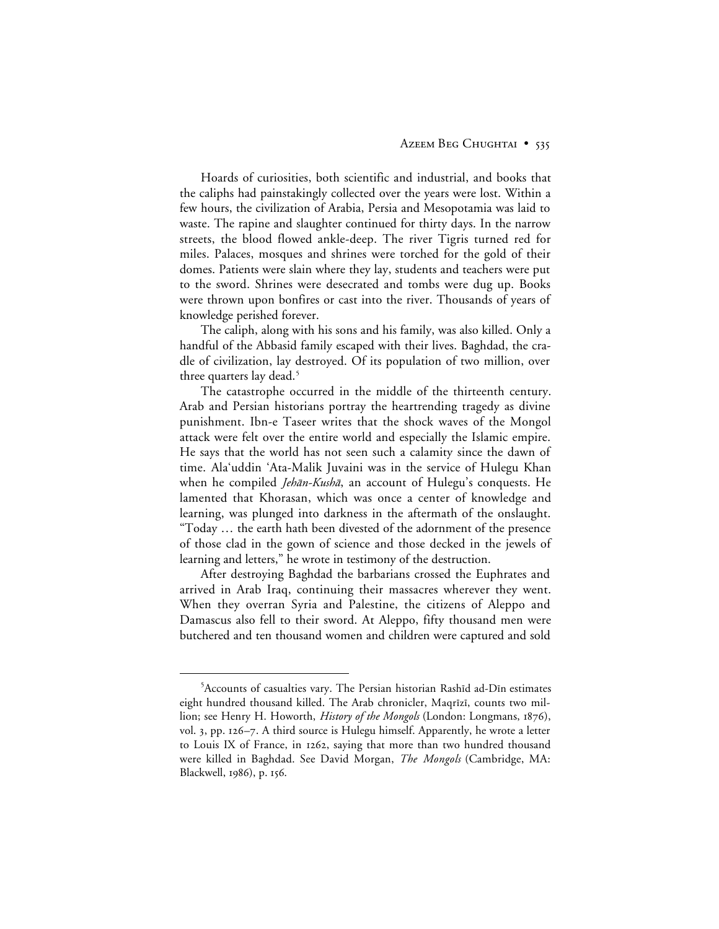Hoards of curiosities, both scientific and industrial, and books that the caliphs had painstakingly collected over the years were lost. Within a few hours, the civilization of Arabia, Persia and Mesopotamia was laid to waste. The rapine and slaughter continued for thirty days. In the narrow streets, the blood flowed ankle-deep. The river Tigris turned red for miles. Palaces, mosques and shrines were torched for the gold of their domes. Patients were slain where they lay, students and teachers were put to the sword. Shrines were desecrated and tombs were dug up. Books were thrown upon bonfires or cast into the river. Thousands of years of knowledge perished forever.

The caliph, along with his sons and his family, was also killed. Only a handful of the Abbasid family escaped with their lives. Baghdad, the cradle of civilization, lay destroyed. Of its population of two million, over three quarters lay dead.<sup>5</sup>

The catastrophe occurred in the middle of the thirteenth century. Arab and Persian historians portray the heartrending tragedy as divine punishment. Ibn-e Taseer writes that the shock waves of the Mongol attack were felt over the entire world and especially the Islamic empire. He says that the world has not seen such a calamity since the dawn of time. Ala'uddin 'Ata-Malik Juvaini was in the service of Hulegu Khan when he compiled *Jehān-Kushā*, an account of Hulegu's conquests. He lamented that Khorasan, which was once a center of knowledge and learning, was plunged into darkness in the aftermath of the onslaught. "Today … the earth hath been divested of the adornment of the presence of those clad in the gown of science and those decked in the jewels of learning and letters," he wrote in testimony of the destruction.

After destroying Baghdad the barbarians crossed the Euphrates and arrived in Arab Iraq, continuing their massacres wherever they went. When they overran Syria and Palestine, the citizens of Aleppo and Damascus also fell to their sword. At Aleppo, fifty thousand men were butchered and ten thousand women and children were captured and sold

 $\frac{1}{5}$  $5$ Accounts of casualties vary. The Persian historian Rashīd ad-Dīn estimates eight hundred thousand killed. The Arab chronicler, Maqrīzī, counts two million; see Henry H. Howorth, *History of the Mongols* (London: Longmans, 1876), vol. 3, pp.  $126 - 7$ . A third source is Hulegu himself. Apparently, he wrote a letter to Louis IX of France, in 1262, saying that more than two hundred thousand were killed in Baghdad. See David Morgan, *The Mongols* (Cambridge, MA: Blackwell, 1986), p. 156.